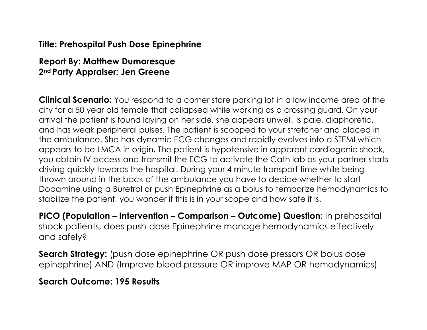## **Title: Prehospital Push Dose Epinephrine**

## **Report By: Matthew Dumaresque 2nd Party Appraiser: Jen Greene**

**Clinical Scenario:** You respond to a corner store parking lot in a low income area of the city for a 50 year old female that collapsed while working as a crossing guard. On your arrival the patient is found laying on her side, she appears unwell, is pale, diaphoretic, and has weak peripheral pulses. The patient is scooped to your stretcher and placed in the ambulance. She has dynamic ECG changes and rapidly evolves into a STEMI which appears to be LMCA in origin. The patient is hypotensive in apparent cardiogenic shock, you obtain IV access and transmit the ECG to activate the Cath lab as your partner starts driving quickly towards the hospital. During your 4 minute transport time while being thrown around in the back of the ambulance you have to decide whether to start Dopamine using a Buretrol or push Epinephrine as a bolus to temporize hemodynamics to stabilize the patient, you wonder if this is in your scope and how safe it is.

**PICO (Population – Intervention – Comparison – Outcome) Question:** In prehospital shock patients, does push-dose Epinephrine manage hemodynamics effectively and safely?

**Search Strategy:** (push dose epinephrine OR push dose pressors OR bolus dose epinephrine) AND (Improve blood pressure OR improve MAP OR hemodynamics)

## **Search Outcome: 195 Results**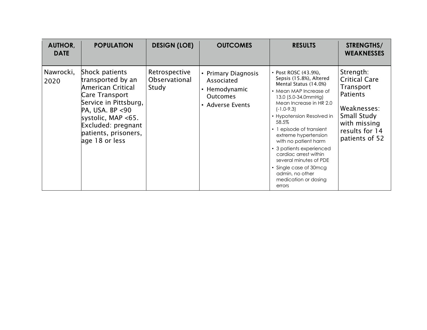| <b>AUTHOR,</b><br><b>DATE</b> | <b>POPULATION</b>                                                                                                                                                                                            | <b>DESIGN (LOE)</b>                     | <b>OUTCOMES</b>                                                                           | <b>RESULTS</b>                                                                                                                                                                                                                                                                                                                                                                                                                                         | <b>STRENGTHS/</b><br><b>WEAKNESSES</b>                                                                                                                     |
|-------------------------------|--------------------------------------------------------------------------------------------------------------------------------------------------------------------------------------------------------------|-----------------------------------------|-------------------------------------------------------------------------------------------|--------------------------------------------------------------------------------------------------------------------------------------------------------------------------------------------------------------------------------------------------------------------------------------------------------------------------------------------------------------------------------------------------------------------------------------------------------|------------------------------------------------------------------------------------------------------------------------------------------------------------|
| Nawrocki,<br>2020             | Shock patients<br>transported by an<br>American Critical<br>Care Transport<br>Service in Pittsburg,<br>PA, USA. BP <90<br>systolic, MAP <65.<br>Excluded: pregnant<br>patients, prisoners,<br>age 18 or less | Retrospective<br>Observational<br>Study | • Primary Diagnosis<br>Associated<br>• Hemodynamic<br><b>Outcomes</b><br>• Adverse Events | • Post ROSC (43.9%),<br>Sepsis (15.8%), Altered<br>Mental Status (14.0%)<br>• Mean MAP Increase of<br>13.0 (5.0-34.0mmHg)<br>Mean Increase in HR 2.0<br>$(-1.0 - 9.3)$<br>• Hypotension Resolved in<br>58.5%<br>• 1 episode of transient<br>extreme hypertension<br>with no patient harm<br>• 3 patients experienced<br>cardiac arrest within<br>several minutes of PDE<br>• Single case of 30mcg<br>admin, no other<br>medication or dosing<br>errors | Strength:<br><b>Critical Care</b><br>Transport<br><b>Patients</b><br>Weaknesses:<br><b>Small Study</b><br>with missing<br>results for 14<br>patients of 52 |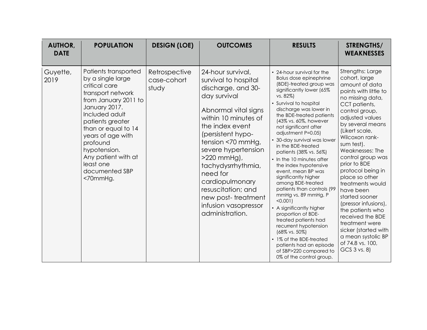| <b>AUTHOR,</b><br><b>DATE</b> | <b>POPULATION</b>                                                                                                                                                                                                                                                                                        | <b>DESIGN (LOE)</b>                   | <b>OUTCOMES</b>                                                                                                                                                                                                                                                                                                                                                                  | <b>RESULTS</b>                                                                                                                                                                                                                                                                                                                                                                                                                                                                                                                                                                                                                                                                                                                                                                           | STRENGTHS/<br><b>WEAKNESSES</b>                                                                                                                                                                                                                                                                                                                                                                                                                                                                                                                    |
|-------------------------------|----------------------------------------------------------------------------------------------------------------------------------------------------------------------------------------------------------------------------------------------------------------------------------------------------------|---------------------------------------|----------------------------------------------------------------------------------------------------------------------------------------------------------------------------------------------------------------------------------------------------------------------------------------------------------------------------------------------------------------------------------|------------------------------------------------------------------------------------------------------------------------------------------------------------------------------------------------------------------------------------------------------------------------------------------------------------------------------------------------------------------------------------------------------------------------------------------------------------------------------------------------------------------------------------------------------------------------------------------------------------------------------------------------------------------------------------------------------------------------------------------------------------------------------------------|----------------------------------------------------------------------------------------------------------------------------------------------------------------------------------------------------------------------------------------------------------------------------------------------------------------------------------------------------------------------------------------------------------------------------------------------------------------------------------------------------------------------------------------------------|
| Guyette,<br>2019              | Patients transported<br>by a single large<br>critical care<br>transport network<br>from January 2011 to<br>January 2017.<br>Included adult<br>patients greater<br>than or equal to 14<br>years of age with<br>profound<br>hypotension.<br>Any patient with at<br>least one<br>documented SBP<br><70mmHg. | Retrospective<br>case-cohort<br>study | 24-hour survival,<br>survival to hospital<br>discharge, and 30-<br>day survival<br>Abnormal vital signs<br>within 10 minutes of<br>the index event<br>(persistent hypo-<br>tension <70 mmHg,<br>severe hypertension<br>$>220$ mmHg),<br>tachydysrrhythmia,<br>need for<br>cardiopulmonary<br>resuscitation; and<br>new post-treatment<br>infusion vasopressor<br>administration. | • 24-hour survival for the<br>Bolus dose epinephrine<br>(BDE)-treated group was<br>significantly lower (65%<br>$vs. 82\%)$<br>• Survival to hospital<br>discharge was lower in<br>the BDE-treated patients<br>(43% vs. 60%, however<br>not significant after<br>adjustment P=0.05)<br>30-day survival was lower<br>in the BDE-treated<br>patients (38% vs. 56%)<br>• In the 10 minutes after<br>the index hypotensive<br>event, mean BP was<br>significantly higher<br>among BDE-treated<br>patients than controls (99<br>mmHg vs. 89 mmHg, P<br>< 0.001<br>• A significantly higher<br>proportion of BDE-<br>treated patients had<br>recurrent hypotension<br>(68% vs. 50%)<br>• 1% of the BDE-treated<br>patients had an episode<br>of SBP>220 compared to<br>0% of the control group. | Strengths: Large<br>cohort, large<br>amount of data<br>points with little to<br>no missing data,<br>CCT patients,<br>control group,<br>adjusted values<br>by several means<br>(Likert scale,<br>Wilcoxon rank-<br>sum test).<br>Weaknesses: The<br>control group was<br>prior to BDE<br>protocol being in<br>place so other<br>treatments would<br>have been<br>started sooner<br>(pressor infusions),<br>the patients who<br>received the BDE<br>treatment were<br>sicker (started with<br>a mean systolic BP<br>of 74.8 vs. 100,<br>GCS 3 vs. 8) |